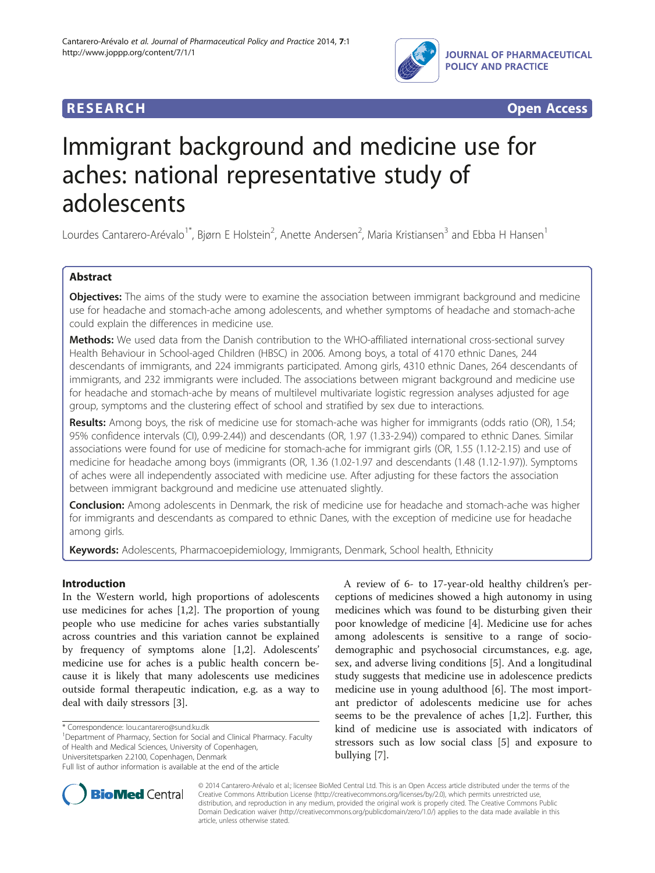

**RESEARCH RESEARCH** *CHECK CHECK CHECK CHECK CHECK CHECK CHECK CHECK CHECK CHECK CHECK CHECK CHECK CHECK CHECK CHECK CHECK CHECK CHECK CHECK CHECK CHECK CHECK CHECK CHECK CHECK CHECK CHECK CHECK CHECK CHECK CHECK CHECK* 

# Immigrant background and medicine use for aches: national representative study of adolescents

Lourdes Cantarero-Arévalo<sup>1\*</sup>, Bjørn E Holstein<sup>2</sup>, Anette Andersen<sup>2</sup>, Maria Kristiansen<sup>3</sup> and Ebba H Hansen<sup>1</sup>

# Abstract

Objectives: The aims of the study were to examine the association between immigrant background and medicine use for headache and stomach-ache among adolescents, and whether symptoms of headache and stomach-ache could explain the differences in medicine use.

Methods: We used data from the Danish contribution to the WHO-affiliated international cross-sectional survey Health Behaviour in School-aged Children (HBSC) in 2006. Among boys, a total of 4170 ethnic Danes, 244 descendants of immigrants, and 224 immigrants participated. Among girls, 4310 ethnic Danes, 264 descendants of immigrants, and 232 immigrants were included. The associations between migrant background and medicine use for headache and stomach-ache by means of multilevel multivariate logistic regression analyses adjusted for age group, symptoms and the clustering effect of school and stratified by sex due to interactions.

Results: Among boys, the risk of medicine use for stomach-ache was higher for immigrants (odds ratio (OR), 1.54; 95% confidence intervals (CI), 0.99-2.44)) and descendants (OR, 1.97 (1.33-2.94)) compared to ethnic Danes. Similar associations were found for use of medicine for stomach-ache for immigrant girls (OR, 1.55 (1.12-2.15) and use of medicine for headache among boys (immigrants (OR, 1.36 (1.02-1.97 and descendants (1.48 (1.12-1.97)). Symptoms of aches were all independently associated with medicine use. After adjusting for these factors the association between immigrant background and medicine use attenuated slightly.

**Conclusion:** Among adolescents in Denmark, the risk of medicine use for headache and stomach-ache was higher for immigrants and descendants as compared to ethnic Danes, with the exception of medicine use for headache among girls.

Keywords: Adolescents, Pharmacoepidemiology, Immigrants, Denmark, School health, Ethnicity

## Introduction

In the Western world, high proportions of adolescents use medicines for aches [\[1,2\]](#page-4-0). The proportion of young people who use medicine for aches varies substantially across countries and this variation cannot be explained by frequency of symptoms alone [\[1,2](#page-4-0)]. Adolescents' medicine use for aches is a public health concern because it is likely that many adolescents use medicines outside formal therapeutic indication, e.g. as a way to deal with daily stressors [\[3](#page-4-0)].

\* Correspondence: [lou.cantarero@sund.ku.dk](mailto:lou.cantarero@sund.ku.dk) <sup>1</sup>

Department of Pharmacy, Section for Social and Clinical Pharmacy. Faculty of Health and Medical Sciences, University of Copenhagen, Universitetsparken 2.2100, Copenhagen, Denmark

A review of 6- to 17-year-old healthy children's perceptions of medicines showed a high autonomy in using medicines which was found to be disturbing given their poor knowledge of medicine [\[4](#page-5-0)]. Medicine use for aches among adolescents is sensitive to a range of sociodemographic and psychosocial circumstances, e.g. age, sex, and adverse living conditions [\[5](#page-5-0)]. And a longitudinal study suggests that medicine use in adolescence predicts medicine use in young adulthood [\[6](#page-5-0)]. The most important predictor of adolescents medicine use for aches seems to be the prevalence of aches [[1,2\]](#page-4-0). Further, this kind of medicine use is associated with indicators of stressors such as low social class [[5\]](#page-5-0) and exposure to bullying [\[7](#page-5-0)].



© 2014 Cantarero-Arévalo et al.; licensee BioMed Central Ltd. This is an Open Access article distributed under the terms of the Creative Commons Attribution License (<http://creativecommons.org/licenses/by/2.0>), which permits unrestricted use, distribution, and reproduction in any medium, provided the original work is properly cited. The Creative Commons Public Domain Dedication waiver [\(http://creativecommons.org/publicdomain/zero/1.0/\)](http://creativecommons.org/publicdomain/zero/1.0/) applies to the data made available in this article, unless otherwise stated.

Full list of author information is available at the end of the article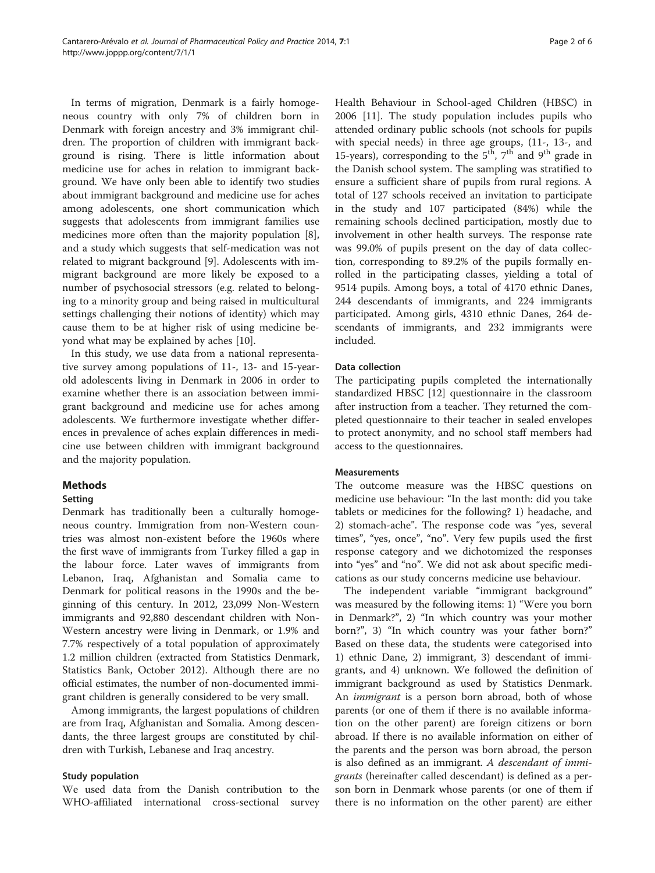In terms of migration, Denmark is a fairly homogeneous country with only 7% of children born in Denmark with foreign ancestry and 3% immigrant children. The proportion of children with immigrant background is rising. There is little information about medicine use for aches in relation to immigrant background. We have only been able to identify two studies about immigrant background and medicine use for aches among adolescents, one short communication which suggests that adolescents from immigrant families use medicines more often than the majority population [\[8](#page-5-0)], and a study which suggests that self-medication was not related to migrant background [\[9](#page-5-0)]. Adolescents with immigrant background are more likely be exposed to a number of psychosocial stressors (e.g. related to belonging to a minority group and being raised in multicultural settings challenging their notions of identity) which may cause them to be at higher risk of using medicine beyond what may be explained by aches [[10](#page-5-0)].

In this study, we use data from a national representative survey among populations of 11-, 13- and 15-yearold adolescents living in Denmark in 2006 in order to examine whether there is an association between immigrant background and medicine use for aches among adolescents. We furthermore investigate whether differences in prevalence of aches explain differences in medicine use between children with immigrant background and the majority population.

#### Methods

#### **Setting**

Denmark has traditionally been a culturally homogeneous country. Immigration from non-Western countries was almost non-existent before the 1960s where the first wave of immigrants from Turkey filled a gap in the labour force. Later waves of immigrants from Lebanon, Iraq, Afghanistan and Somalia came to Denmark for political reasons in the 1990s and the beginning of this century. In 2012, 23,099 Non-Western immigrants and 92,880 descendant children with Non-Western ancestry were living in Denmark, or 1.9% and 7.7% respectively of a total population of approximately 1.2 million children (extracted from Statistics Denmark, Statistics Bank, October 2012). Although there are no official estimates, the number of non-documented immigrant children is generally considered to be very small.

Among immigrants, the largest populations of children are from Iraq, Afghanistan and Somalia. Among descendants, the three largest groups are constituted by children with Turkish, Lebanese and Iraq ancestry.

#### Study population

We used data from the Danish contribution to the WHO-affiliated international cross-sectional survey Health Behaviour in School-aged Children (HBSC) in 2006 [[11\]](#page-5-0). The study population includes pupils who attended ordinary public schools (not schools for pupils with special needs) in three age groups, (11-, 13-, and 15-years), corresponding to the  $5<sup>th</sup>$ ,  $7<sup>th</sup>$  and  $9<sup>th</sup>$  grade in the Danish school system. The sampling was stratified to ensure a sufficient share of pupils from rural regions. A total of 127 schools received an invitation to participate in the study and 107 participated (84%) while the remaining schools declined participation, mostly due to involvement in other health surveys. The response rate was 99.0% of pupils present on the day of data collection, corresponding to 89.2% of the pupils formally enrolled in the participating classes, yielding a total of 9514 pupils. Among boys, a total of 4170 ethnic Danes, 244 descendants of immigrants, and 224 immigrants participated. Among girls, 4310 ethnic Danes, 264 descendants of immigrants, and 232 immigrants were included.

### Data collection

The participating pupils completed the internationally standardized HBSC [\[12](#page-5-0)] questionnaire in the classroom after instruction from a teacher. They returned the completed questionnaire to their teacher in sealed envelopes to protect anonymity, and no school staff members had access to the questionnaires.

#### **Measurements**

The outcome measure was the HBSC questions on medicine use behaviour: "In the last month: did you take tablets or medicines for the following? 1) headache, and 2) stomach-ache". The response code was "yes, several times", "yes, once", "no". Very few pupils used the first response category and we dichotomized the responses into "yes" and "no". We did not ask about specific medications as our study concerns medicine use behaviour.

The independent variable "immigrant background" was measured by the following items: 1) "Were you born in Denmark?", 2) "In which country was your mother born?", 3) "In which country was your father born?" Based on these data, the students were categorised into 1) ethnic Dane, 2) immigrant, 3) descendant of immigrants, and 4) unknown. We followed the definition of immigrant background as used by Statistics Denmark. An *immigrant* is a person born abroad, both of whose parents (or one of them if there is no available information on the other parent) are foreign citizens or born abroad. If there is no available information on either of the parents and the person was born abroad, the person is also defined as an immigrant. A descendant of immigrants (hereinafter called descendant) is defined as a person born in Denmark whose parents (or one of them if there is no information on the other parent) are either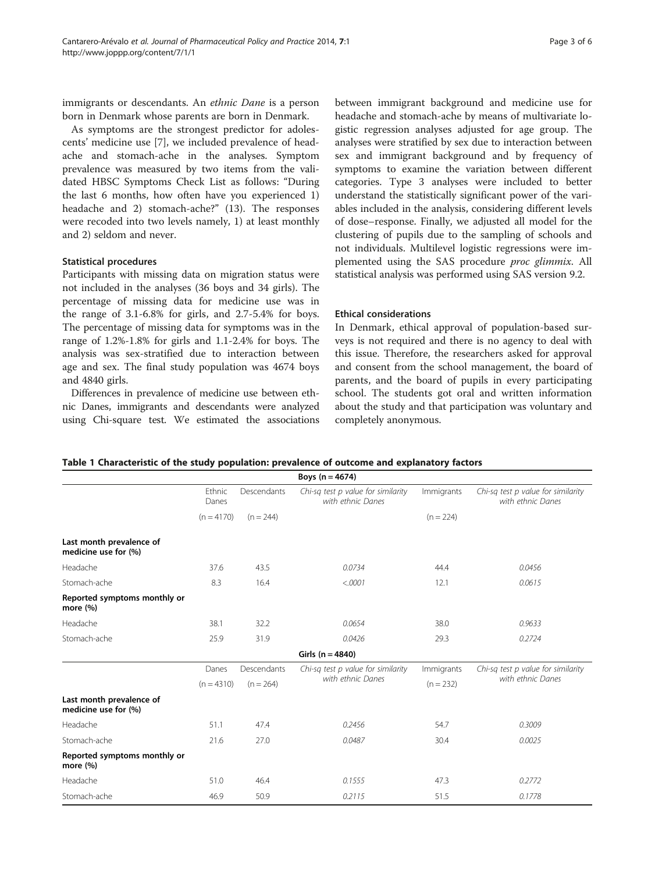<span id="page-2-0"></span>immigrants or descendants. An ethnic Dane is a person born in Denmark whose parents are born in Denmark.

As symptoms are the strongest predictor for adolescents' medicine use [\[7](#page-5-0)], we included prevalence of headache and stomach-ache in the analyses. Symptom prevalence was measured by two items from the validated HBSC Symptoms Check List as follows: "During the last 6 months, how often have you experienced 1) headache and 2) stomach-ache?" (13). The responses were recoded into two levels namely, 1) at least monthly and 2) seldom and never.

#### Statistical procedures

Participants with missing data on migration status were not included in the analyses (36 boys and 34 girls). The percentage of missing data for medicine use was in the range of 3.1-6.8% for girls, and 2.7-5.4% for boys. The percentage of missing data for symptoms was in the range of 1.2%-1.8% for girls and 1.1-2.4% for boys. The analysis was sex-stratified due to interaction between age and sex. The final study population was 4674 boys and 4840 girls.

Differences in prevalence of medicine use between ethnic Danes, immigrants and descendants were analyzed using Chi-square test. We estimated the associations

between immigrant background and medicine use for headache and stomach-ache by means of multivariate logistic regression analyses adjusted for age group. The analyses were stratified by sex due to interaction between sex and immigrant background and by frequency of symptoms to examine the variation between different categories. Type 3 analyses were included to better understand the statistically significant power of the variables included in the analysis, considering different levels of dose–response. Finally, we adjusted all model for the clustering of pupils due to the sampling of schools and not individuals. Multilevel logistic regressions were implemented using the SAS procedure *proc glimmix*. All statistical analysis was performed using SAS version 9.2.

#### Ethical considerations

In Denmark, ethical approval of population-based surveys is not required and there is no agency to deal with this issue. Therefore, the researchers asked for approval and consent from the school management, the board of parents, and the board of pupils in every participating school. The students got oral and written information about the study and that participation was voluntary and completely anonymous.

| Table 1 Characteristic of the study population: prevalence of outcome and explanatory factors |  |
|-----------------------------------------------------------------------------------------------|--|
|-----------------------------------------------------------------------------------------------|--|

|                                                  |                 |             | Boys $(n = 4674)$                                       |             |                                                         |
|--------------------------------------------------|-----------------|-------------|---------------------------------------------------------|-------------|---------------------------------------------------------|
|                                                  | Ethnic<br>Danes | Descendants | Chi-sq test p value for similarity<br>with ethnic Danes | Immigrants  | Chi-sq test p value for similarity<br>with ethnic Danes |
|                                                  | $(n = 4170)$    | $(n = 244)$ |                                                         | $(n = 224)$ |                                                         |
| Last month prevalence of<br>medicine use for (%) |                 |             |                                                         |             |                                                         |
| Headache                                         | 37.6            | 43.5        | 0.0734                                                  | 44.4        | 0.0456                                                  |
| Stomach-ache                                     | 8.3             | 16.4        | < .0001                                                 | 12.1        | 0.0615                                                  |
| Reported symptoms monthly or<br>more (%)         |                 |             |                                                         |             |                                                         |
| Headache                                         | 38.1            | 32.2        | 0.0654                                                  | 38.0        | 0.9633                                                  |
| Stomach-ache                                     | 25.9            | 31.9        | 0.0426                                                  | 29.3        | 0.2724                                                  |
|                                                  |                 |             | Girls ( $n = 4840$ )                                    |             |                                                         |
|                                                  | Danes           | Descendants | Chi-sq test p value for similarity                      | Immigrants  | Chi-sq test p value for similarity                      |
|                                                  | $(n = 4310)$    | $(n = 264)$ | with ethnic Danes                                       | $(n = 232)$ | with ethnic Danes                                       |
| Last month prevalence of<br>medicine use for (%) |                 |             |                                                         |             |                                                         |
| Headache                                         | 51.1            | 47.4        | 0.2456                                                  | 54.7        | 0.3009                                                  |
| Stomach-ache                                     | 21.6            | 27.0        | 0.0487                                                  | 30.4        | 0.0025                                                  |
| Reported symptoms monthly or<br>more (%)         |                 |             |                                                         |             |                                                         |
| Headache                                         | 51.0            | 46.4        | 0.1555                                                  | 47.3        | 0.2772                                                  |
| Stomach-ache                                     | 46.9            | 50.9        | 0.2115                                                  | 51.5        | 0.1778                                                  |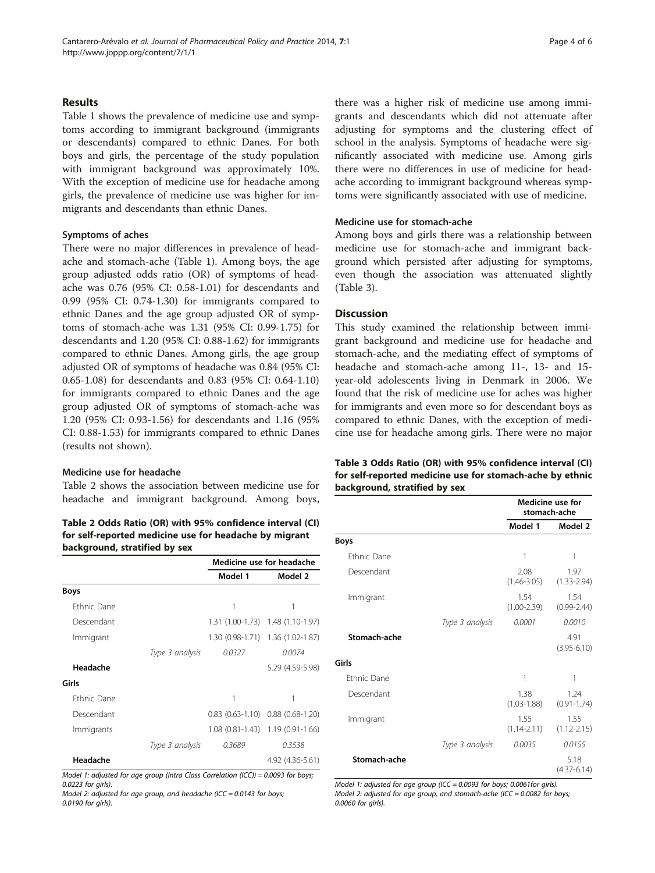#### Results

Table [1](#page-2-0) shows the prevalence of medicine use and symptoms according to immigrant background (immigrants or descendants) compared to ethnic Danes. For both boys and girls, the percentage of the study population with immigrant background was approximately 10%. With the exception of medicine use for headache among girls, the prevalence of medicine use was higher for immigrants and descendants than ethnic Danes.

#### Symptoms of aches

There were no major differences in prevalence of headache and stomach-ache (Table [1](#page-2-0)). Among boys, the age group adjusted odds ratio (OR) of symptoms of headache was 0.76 (95% CI: 0.58-1.01) for descendants and 0.99 (95% CI: 0.74-1.30) for immigrants compared to ethnic Danes and the age group adjusted OR of symptoms of stomach-ache was 1.31 (95% CI: 0.99-1.75) for descendants and 1.20 (95% CI: 0.88-1.62) for immigrants compared to ethnic Danes. Among girls, the age group adjusted OR of symptoms of headache was 0.84 (95% CI: 0.65-1.08) for descendants and 0.83 (95% CI: 0.64-1.10) for immigrants compared to ethnic Danes and the age group adjusted OR of symptoms of stomach-ache was 1.20 (95% CI: 0.93-1.56) for descendants and 1.16 (95% CI: 0.88-1.53) for immigrants compared to ethnic Danes (results not shown).

#### Medicine use for headache

Table 2 shows the association between medicine use for headache and immigrant background. Among boys,

#### Table 2 Odds Ratio (OR) with 95% confidence interval (CI) for self-reported medicine use for headache by migrant background, stratified by sex

|                    |                 | Medicine use for headache |                                   |  |
|--------------------|-----------------|---------------------------|-----------------------------------|--|
|                    |                 | Model 1                   | Model 2                           |  |
| <b>Boys</b>        |                 |                           |                                   |  |
| <b>Ethnic Dane</b> |                 | 1                         | 1                                 |  |
| Descendant         |                 |                           | 1.31 (1.00-1.73) 1.48 (1.10-1.97) |  |
| Immigrant          |                 |                           | 1.30 (0.98-1.71) 1.36 (1.02-1.87) |  |
|                    | Type 3 analysis | 0.0327                    | 0.0074                            |  |
| Headache           |                 |                           | 5.29 (4.59-5.98)                  |  |
| Girls              |                 |                           |                                   |  |
| <b>Ethnic Dane</b> |                 | 1                         | 1                                 |  |
| Descendant         |                 | $0.83(0.63-1.10)$         | $0.88$ $(0.68 - 1.20)$            |  |
| Immigrants         |                 |                           | 1.08 (0.81-1.43) 1.19 (0.91-1.66) |  |
|                    | Type 3 analysis | 0.3689                    | 0.3538                            |  |
| Headache           |                 |                           | 4.92 (4.36-5.61)                  |  |

Model 1: adjusted for age group (Intra Class Correlation (ICC)) = 0.0093 for boys; 0.0223 for girls).

Model 2: adjusted for age group, and headache (ICC =  $0.0143$  for boys; 0.0190 for girls).

there was a higher risk of medicine use among immigrants and descendants which did not attenuate after adjusting for symptoms and the clustering effect of school in the analysis. Symptoms of headache were significantly associated with medicine use. Among girls there were no differences in use of medicine for headache according to immigrant background whereas symptoms were significantly associated with use of medicine.

#### Medicine use for stomach-ache

Among boys and girls there was a relationship between medicine use for stomach-ache and immigrant background which persisted after adjusting for symptoms, even though the association was attenuated slightly (Table 3).

#### **Discussion**

This study examined the relationship between immigrant background and medicine use for headache and stomach-ache, and the mediating effect of symptoms of headache and stomach-ache among 11-, 13- and 15 year-old adolescents living in Denmark in 2006. We found that the risk of medicine use for aches was higher for immigrants and even more so for descendant boys as compared to ethnic Danes, with the exception of medicine use for headache among girls. There were no major

Table 3 Odds Ratio (OR) with 95% confidence interval (CI) for self-reported medicine use for stomach-ache by ethnic background, stratified by sex

|                    |                 | Medicine use for<br>stomach-ache |                         |  |
|--------------------|-----------------|----------------------------------|-------------------------|--|
|                    |                 | Model 1                          | Model 2                 |  |
| <b>Boys</b>        |                 |                                  |                         |  |
| <b>Ethnic Dane</b> |                 | 1                                | 1                       |  |
| Descendant         |                 | 2.08<br>$(1.46 - 3.05)$          | 1.97<br>$(1.33 - 2.94)$ |  |
| Immigrant          |                 | 1.54<br>$(1.00 - 2.39)$          | 1.54<br>$(0.99 - 2.44)$ |  |
|                    | Type 3 analysis | 0.0001                           | 0.0010                  |  |
| Stomach-ache       |                 |                                  | 4.91<br>$(3.95 - 6.10)$ |  |
| Girls              |                 |                                  |                         |  |
| <b>Fthnic Dane</b> |                 | 1                                | 1                       |  |
| Descendant         |                 | 1.38<br>$(1.03 - 1.88)$          | 1.24<br>$(0.91 - 1.74)$ |  |
| Immigrant          |                 | 1.55<br>$(1.14 - 2.11)$          | 1.55<br>$(1.12 - 2.15)$ |  |
|                    | Type 3 analysis | 0.0035                           | 0.0155                  |  |
| Stomach-ache       |                 |                                  | 5.18<br>$(4.37 - 6.14)$ |  |

Model 1: adjusted for age group (ICC = 0.0093 for boys; 0.0061for girls). Model 2: adjusted for age group, and stomach-ache (ICC =  $0.0082$  for boys; 0.0060 for girls).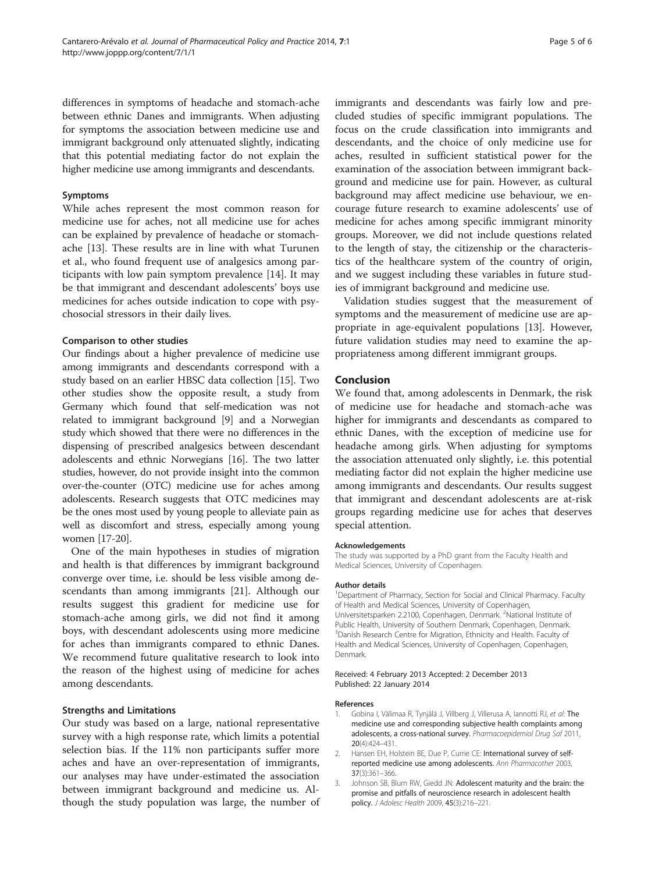<span id="page-4-0"></span>differences in symptoms of headache and stomach-ache between ethnic Danes and immigrants. When adjusting for symptoms the association between medicine use and immigrant background only attenuated slightly, indicating that this potential mediating factor do not explain the higher medicine use among immigrants and descendants.

#### Symptoms

While aches represent the most common reason for medicine use for aches, not all medicine use for aches can be explained by prevalence of headache or stomachache [\[13](#page-5-0)]. These results are in line with what Turunen et al., who found frequent use of analgesics among participants with low pain symptom prevalence [[14](#page-5-0)]. It may be that immigrant and descendant adolescents' boys use medicines for aches outside indication to cope with psychosocial stressors in their daily lives.

#### Comparison to other studies

Our findings about a higher prevalence of medicine use among immigrants and descendants correspond with a study based on an earlier HBSC data collection [\[15\]](#page-5-0). Two other studies show the opposite result, a study from Germany which found that self-medication was not related to immigrant background [\[9](#page-5-0)] and a Norwegian study which showed that there were no differences in the dispensing of prescribed analgesics between descendant adolescents and ethnic Norwegians [[16](#page-5-0)]. The two latter studies, however, do not provide insight into the common over-the-counter (OTC) medicine use for aches among adolescents. Research suggests that OTC medicines may be the ones most used by young people to alleviate pain as well as discomfort and stress, especially among young women [[17-20\]](#page-5-0).

One of the main hypotheses in studies of migration and health is that differences by immigrant background converge over time, i.e. should be less visible among descendants than among immigrants [[21\]](#page-5-0). Although our results suggest this gradient for medicine use for stomach-ache among girls, we did not find it among boys, with descendant adolescents using more medicine for aches than immigrants compared to ethnic Danes. We recommend future qualitative research to look into the reason of the highest using of medicine for aches among descendants.

#### Strengths and Limitations

Our study was based on a large, national representative survey with a high response rate, which limits a potential selection bias. If the 11% non participants suffer more aches and have an over-representation of immigrants, our analyses may have under-estimated the association between immigrant background and medicine us. Although the study population was large, the number of immigrants and descendants was fairly low and precluded studies of specific immigrant populations. The focus on the crude classification into immigrants and descendants, and the choice of only medicine use for aches, resulted in sufficient statistical power for the examination of the association between immigrant background and medicine use for pain. However, as cultural background may affect medicine use behaviour, we encourage future research to examine adolescents' use of medicine for aches among specific immigrant minority groups. Moreover, we did not include questions related to the length of stay, the citizenship or the characteristics of the healthcare system of the country of origin, and we suggest including these variables in future studies of immigrant background and medicine use.

Validation studies suggest that the measurement of symptoms and the measurement of medicine use are appropriate in age-equivalent populations [\[13](#page-5-0)]. However, future validation studies may need to examine the appropriateness among different immigrant groups.

#### Conclusion

We found that, among adolescents in Denmark, the risk of medicine use for headache and stomach-ache was higher for immigrants and descendants as compared to ethnic Danes, with the exception of medicine use for headache among girls. When adjusting for symptoms the association attenuated only slightly, i.e. this potential mediating factor did not explain the higher medicine use among immigrants and descendants. Our results suggest that immigrant and descendant adolescents are at-risk groups regarding medicine use for aches that deserves special attention.

#### Acknowledgements

The study was supported by a PhD grant from the Faculty Health and Medical Sciences, University of Copenhagen.

#### Author details

<sup>1</sup>Department of Pharmacy, Section for Social and Clinical Pharmacy. Faculty of Health and Medical Sciences, University of Copenhagen, Universitetsparken 2.2100, Copenhagen, Denmark. <sup>2</sup>National Institute of Public Health, University of Southern Denmark, Copenhagen, Denmark. <sup>3</sup>Danish Research Centre for Migration, Ethnicity and Health. Faculty of Health and Medical Sciences, University of Copenhagen, Copenhagen, Denmark.

#### Received: 4 February 2013 Accepted: 2 December 2013 Published: 22 January 2014

#### References

- Gobina I, Välimaa R, Tynjälä J, Villberg J, Villerusa A, Iannotti RJ, et al: The medicine use and corresponding subjective health complaints among adolescents, a cross-national survey. Pharmacoepidemiol Drug Saf 2011, 20(4):424–431.
- 2. Hansen EH, Holstein BE, Due P, Currie CE: International survey of selfreported medicine use among adolescents. Ann Pharmacother 2003, 37(3):361–366.
- 3. Johnson SB, Blum RW, Giedd JN: Adolescent maturity and the brain: the promise and pitfalls of neuroscience research in adolescent health policy. J Adolesc Health 2009, 45(3):216–221.